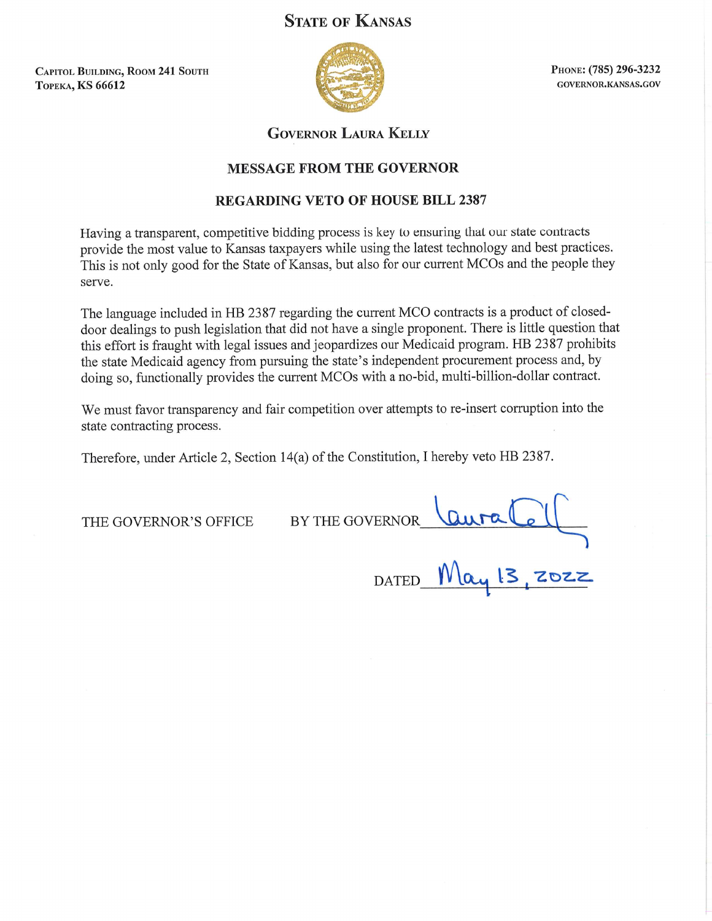# **STATE OF KANSAS**

**CAPITOL BUILDING, ROOM 241 SOUTH ТОРЕКА, KS 66612** 



PHONE: (785) 296-3232 GOVERNOR.KANSAS.GOV

## **GOVERNOR LAURA KELLY**

### **MESSAGE FROM THE GOVERNOR**

### REGARDING VETO OF HOUSE BILL 2387

Having a transparent, competitive bidding process is key to ensuring that our state contracts provide the most value to Kansas taxpayers while using the latest technology and best practices. This is not only good for the State of Kansas, but also for our current MCOs and the people they serve.

The language included in HB 2387 regarding the current MCO contracts is a product of closeddoor dealings to push legislation that did not have a single proponent. There is little question that this effort is fraught with legal issues and jeopardizes our Medicaid program. HB 2387 prohibits the state Medicaid agency from pursuing the state's independent procurement process and, by doing so, functionally provides the current MCOs with a no-bid, multi-billion-dollar contract.

We must favor transparency and fair competition over attempts to re-insert corruption into the state contracting process.

Therefore, under Article 2, Section 14(a) of the Constitution, I hereby veto HB 2387.

THE GOVERNOR'S OFFICE

DATED May 13, 2022 BY THE GOVERNOR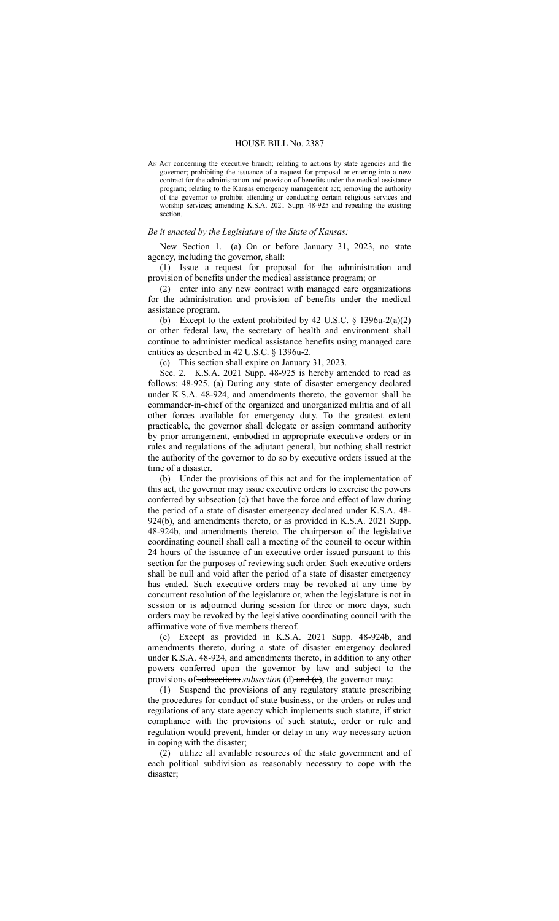#### HOUSE BILL No. 2387

AN ACT concerning the executive branch; relating to actions by state agencies and the governor; prohibiting the issuance of a request for proposal or entering into a new contract for the administration and provision of benefits under the medical assistance program; relating to the Kansas emergency management act; removing the authority of the governor to prohibit attending or conducting certain religious services and worship services; amending K.S.A. 2021 Supp. 48-925 and repealing the existing section.

#### *Be it enacted by the Legislature of the State of Kansas:*

New Section 1. (a) On or before January 31, 2023, no state agency, including the governor, shall:

(1) Issue a request for proposal for the administration and provision of benefits under the medical assistance program; or

(2) enter into any new contract with managed care organizations for the administration and provision of benefits under the medical assistance program.

(b) Except to the extent prohibited by 42 U.S.C.  $\S$  1396u-2(a)(2) or other federal law, the secretary of health and environment shall continue to administer medical assistance benefits using managed care entities as described in 42 U.S.C. § 1396u-2.

(c) This section shall expire on January 31, 2023.

Sec. 2. K.S.A. 2021 Supp. 48-925 is hereby amended to read as follows: 48-925. (a) During any state of disaster emergency declared under K.S.A. 48-924, and amendments thereto, the governor shall be commander-in-chief of the organized and unorganized militia and of all other forces available for emergency duty. To the greatest extent practicable, the governor shall delegate or assign command authority by prior arrangement, embodied in appropriate executive orders or in rules and regulations of the adjutant general, but nothing shall restrict the authority of the governor to do so by executive orders issued at the time of a disaster.

(b) Under the provisions of this act and for the implementation of this act, the governor may issue executive orders to exercise the powers conferred by subsection (c) that have the force and effect of law during the period of a state of disaster emergency declared under K.S.A. 48- 924(b), and amendments thereto, or as provided in K.S.A. 2021 Supp. 48-924b, and amendments thereto. The chairperson of the legislative coordinating council shall call a meeting of the council to occur within 24 hours of the issuance of an executive order issued pursuant to this section for the purposes of reviewing such order. Such executive orders shall be null and void after the period of a state of disaster emergency has ended. Such executive orders may be revoked at any time by concurrent resolution of the legislature or, when the legislature is not in session or is adjourned during session for three or more days, such orders may be revoked by the legislative coordinating council with the affirmative vote of five members thereof.

(c) Except as provided in K.S.A. 2021 Supp. 48-924b, and amendments thereto, during a state of disaster emergency declared under K.S.A. 48-924, and amendments thereto, in addition to any other powers conferred upon the governor by law and subject to the provisions of subsections *subsection* (d) and (e), the governor may:

(1) Suspend the provisions of any regulatory statute prescribing the procedures for conduct of state business, or the orders or rules and regulations of any state agency which implements such statute, if strict compliance with the provisions of such statute, order or rule and regulation would prevent, hinder or delay in any way necessary action in coping with the disaster;

(2) utilize all available resources of the state government and of each political subdivision as reasonably necessary to cope with the disaster;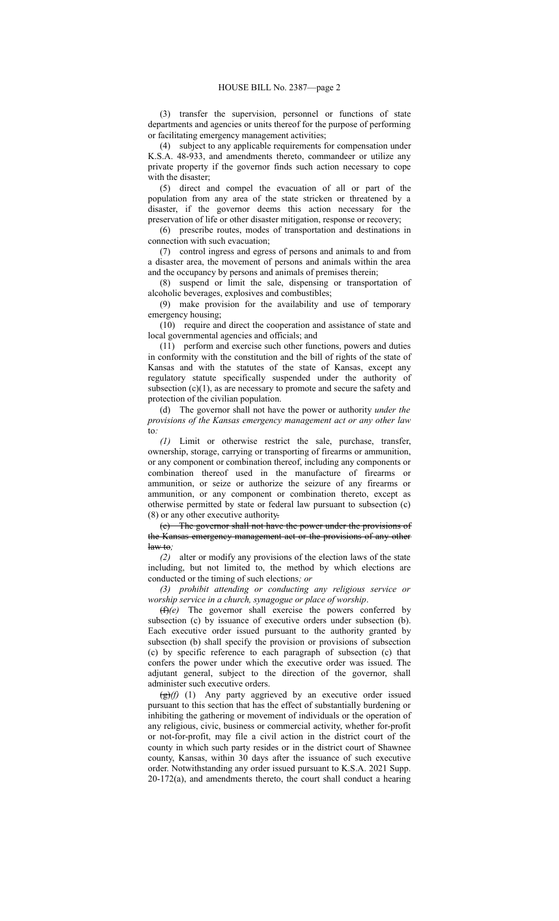(3) transfer the supervision, personnel or functions of state departments and agencies or units thereof for the purpose of performing or facilitating emergency management activities;

(4) subject to any applicable requirements for compensation under K.S.A. 48-933, and amendments thereto, commandeer or utilize any private property if the governor finds such action necessary to cope with the disaster;

(5) direct and compel the evacuation of all or part of the population from any area of the state stricken or threatened by a disaster, if the governor deems this action necessary for the preservation of life or other disaster mitigation, response or recovery;

(6) prescribe routes, modes of transportation and destinations in connection with such evacuation;

(7) control ingress and egress of persons and animals to and from a disaster area, the movement of persons and animals within the area and the occupancy by persons and animals of premises therein;

(8) suspend or limit the sale, dispensing or transportation of alcoholic beverages, explosives and combustibles;

(9) make provision for the availability and use of temporary emergency housing;

(10) require and direct the cooperation and assistance of state and local governmental agencies and officials; and

(11) perform and exercise such other functions, powers and duties in conformity with the constitution and the bill of rights of the state of Kansas and with the statutes of the state of Kansas, except any regulatory statute specifically suspended under the authority of subsection  $(c)(1)$ , as are necessary to promote and secure the safety and protection of the civilian population.

(d) The governor shall not have the power or authority *under the provisions of the Kansas emergency management act or any other law* to*:*

*(1)* Limit or otherwise restrict the sale, purchase, transfer, ownership, storage, carrying or transporting of firearms or ammunition, or any component or combination thereof, including any components or combination thereof used in the manufacture of firearms or ammunition, or seize or authorize the seizure of any firearms or ammunition, or any component or combination thereto, except as otherwise permitted by state or federal law pursuant to subsection (c) (8) or any other executive authority.

(e) The governor shall not have the power under the provisions of the Kansas emergency management act or the provisions of any other law to*;*

*(2)* alter or modify any provisions of the election laws of the state including, but not limited to, the method by which elections are conducted or the timing of such elections*; or*

*(3) prohibit attending or conducting any religious service or worship service in a church, synagogue or place of worship*.

(f)*(e)* The governor shall exercise the powers conferred by subsection (c) by issuance of executive orders under subsection (b). Each executive order issued pursuant to the authority granted by subsection (b) shall specify the provision or provisions of subsection (c) by specific reference to each paragraph of subsection (c) that confers the power under which the executive order was issued. The adjutant general, subject to the direction of the governor, shall administer such executive orders.

(g)*(f)* (1) Any party aggrieved by an executive order issued pursuant to this section that has the effect of substantially burdening or inhibiting the gathering or movement of individuals or the operation of any religious, civic, business or commercial activity, whether for-profit or not-for-profit, may file a civil action in the district court of the county in which such party resides or in the district court of Shawnee county, Kansas, within 30 days after the issuance of such executive order. Notwithstanding any order issued pursuant to K.S.A. 2021 Supp.  $20-172(a)$ , and amendments thereto, the court shall conduct a hearing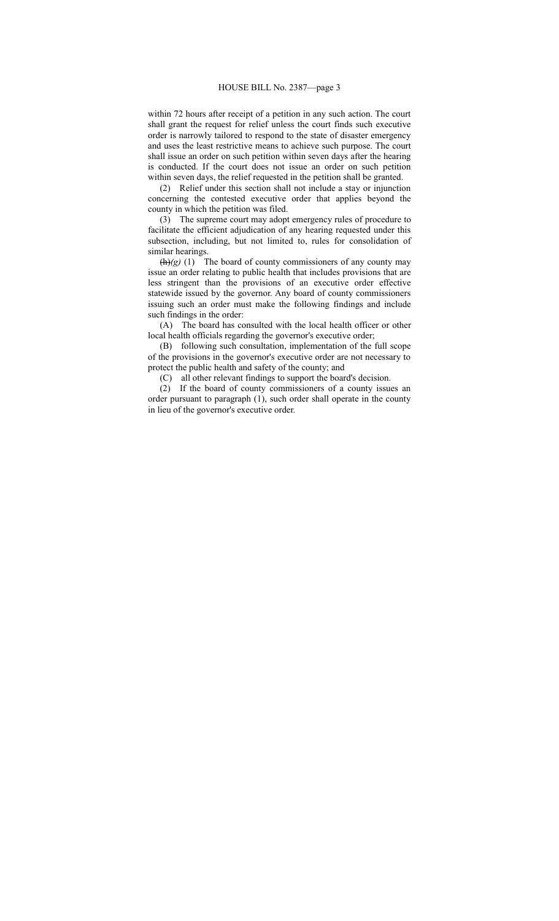within 72 hours after receipt of a petition in any such action. The court shall grant the request for relief unless the court finds such executive order is narrowly tailored to respond to the state of disaster emergency and uses the least restrictive means to achieve such purpose. The court shall issue an order on such petition within seven days after the hearing is conducted. If the court does not issue an order on such petition within seven days, the relief requested in the petition shall be granted.

(2) Relief under this section shall not include a stay or injunction concerning the contested executive order that applies beyond the county in which the petition was filed.

(3) The supreme court may adopt emergency rules of procedure to facilitate the efficient adjudication of any hearing requested under this subsection, including, but not limited to, rules for consolidation of similar hearings.

(h)*(g)* (1) The board of county commissioners of any county may issue an order relating to public health that includes provisions that are less stringent than the provisions of an executive order effective statewide issued by the governor. Any board of county commissioners issuing such an order must make the following findings and include such findings in the order:

(A) The board has consulted with the local health officer or other local health officials regarding the governor's executive order;

(B) following such consultation, implementation of the full scope of the provisions in the governor's executive order are not necessary to protect the public health and safety of the county; and

(C) all other relevant findings to support the board's decision.

(2) If the board of county commissioners of a county issues an order pursuant to paragraph (1), such order shall operate in the county in lieu of the governor's executive order.